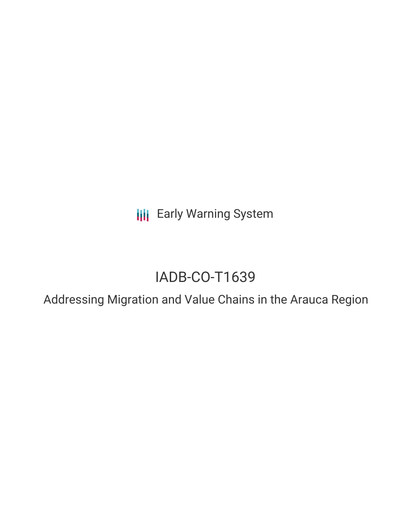**III** Early Warning System

# IADB-CO-T1639

Addressing Migration and Value Chains in the Arauca Region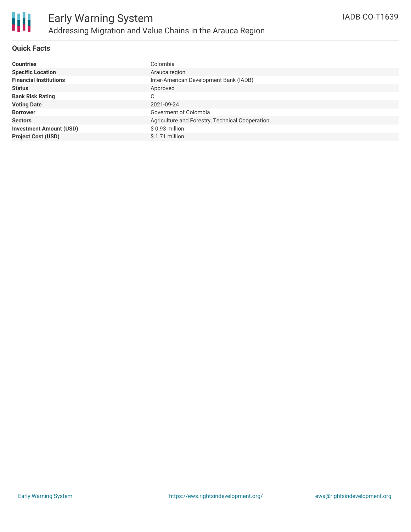

## **Quick Facts**

| <b>Countries</b>               | Colombia                                        |
|--------------------------------|-------------------------------------------------|
| <b>Specific Location</b>       | Arauca region                                   |
| <b>Financial Institutions</b>  | Inter-American Development Bank (IADB)          |
| <b>Status</b>                  | Approved                                        |
| <b>Bank Risk Rating</b>        | $\sim$<br>◡                                     |
| <b>Voting Date</b>             | 2021-09-24                                      |
| <b>Borrower</b>                | Goverment of Colombia                           |
| <b>Sectors</b>                 | Agriculture and Forestry, Technical Cooperation |
| <b>Investment Amount (USD)</b> | $$0.93$ million                                 |
| <b>Project Cost (USD)</b>      | \$1.71 million                                  |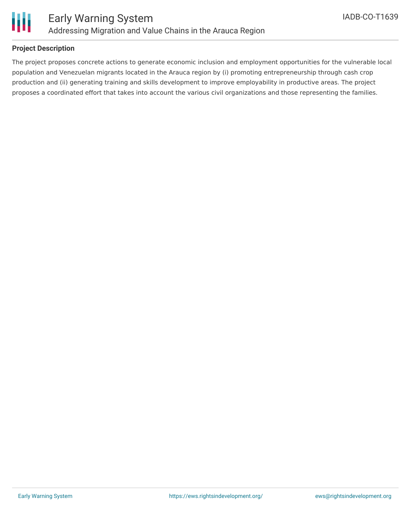

### **Project Description**

The project proposes concrete actions to generate economic inclusion and employment opportunities for the vulnerable local population and Venezuelan migrants located in the Arauca region by (i) promoting entrepreneurship through cash crop production and (ii) generating training and skills development to improve employability in productive areas. The project proposes a coordinated effort that takes into account the various civil organizations and those representing the families.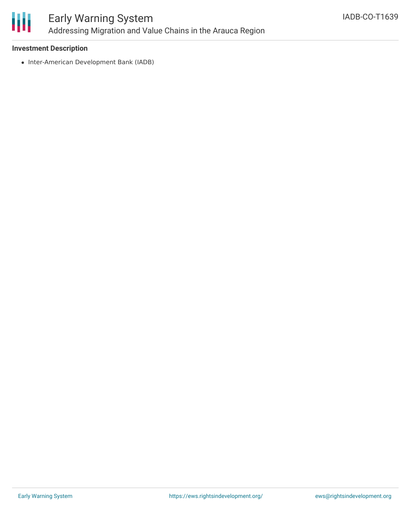

### **Investment Description**

• Inter-American Development Bank (IADB)